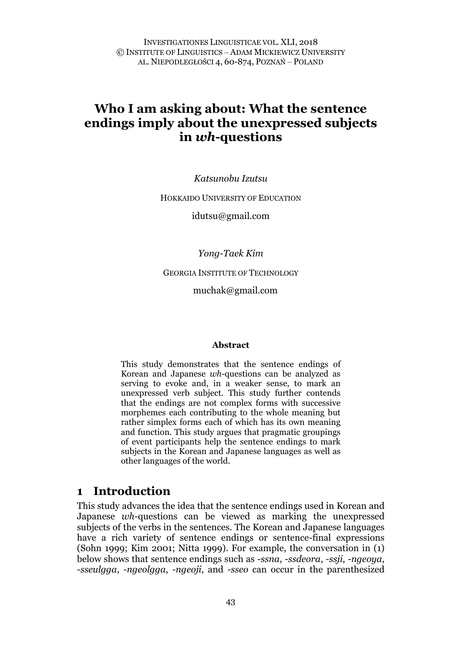INVESTIGATIONES LINGUISTICAE VOL. XLI, 2018 © INSTITUTE OF LINGUISTICS – ADAM MICKIEWICZ UNIVERSITY AL. NIEPODLEGŁOŚCI 4, 60-874, POZNAŃ – POLAND

# **Who I am asking about: What the sentence endings imply about the unexpressed subjects in** *wh***-questions**

*Katsunobu Izutsu* 

HOKKAIDO UNIVERSITY OF EDUCATION

idutsu@gmail.com

*Yong-Taek Kim*

GEORGIA INSTITUTE OF TECHNOLOGY

muchak@gmail.com

#### **Abstract**

This study demonstrates that the sentence endings of Korean and Japanese *wh*-questions can be analyzed as serving to evoke and, in a weaker sense, to mark an unexpressed verb subject. This study further contends that the endings are not complex forms with successive morphemes each contributing to the whole meaning but rather simplex forms each of which has its own meaning and function. This study argues that pragmatic groupings of event participants help the sentence endings to mark subjects in the Korean and Japanese languages as well as other languages of the world.

#### **1 Introduction**

This study advances the idea that the sentence endings used in Korean and Japanese *wh*-questions can be viewed as marking the unexpressed subjects of the verbs in the sentences. The Korean and Japanese languages have a rich variety of sentence endings or sentence-final expressions (Sohn 1999; Kim 2001; Nitta 1999). For example, the conversation in (1) below shows that sentence endings such as *-ssna*, *-ssdeora*, *-ssji*, *-ngeoya*, *-sseulgga*, *-ngeolgga*, *-ngeoji*, and *-sseo* can occur in the parenthesized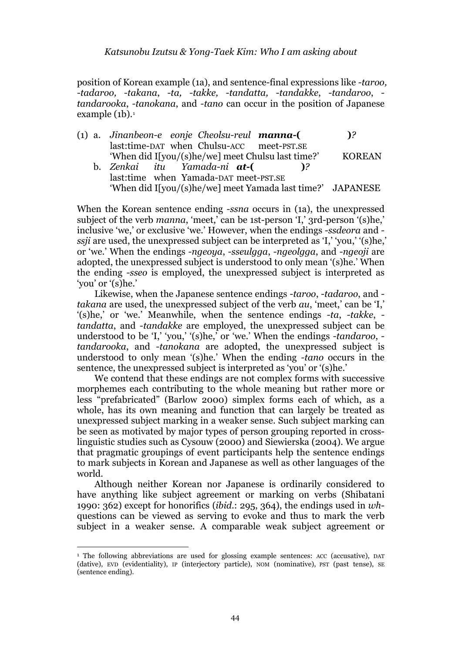position of Korean example (1a), and sentence-final expressions like *-taroo, -tadaroo, -takana*, *-ta, -takke, -tandatta, -tandakke*, *-tandaroo*,  *tandarooka*, *-tanokana*, and *-tano* can occur in the position of Japanese example  $(1b).<sup>1</sup>$  $(1b).<sup>1</sup>$  $(1b).<sup>1</sup>$ 

(1) a. *Jinanbeon-e eonje Cheolsu-reul manna-***( )***?* last:time-DAT when Chulsu-ACC meet-PST.SE 'When did I[you/(s)he/we] meet Chulsu last time?' KOREAN b. Zenkai itu Yamada-ni **at-(**)? b. *Zenkai itu Yamada-ni at-***( )***?* last:time when Yamada-DAT meet-PST.SE

'When did I[you/(s)he/we] meet Yamada last time?' JAPANESE

When the Korean sentence ending *-ssna* occurs in (1a), the unexpressed subject of the verb *manna*, 'meet,' can be 1st-person 'I,' 3rd-person '(s)he,' inclusive 'we,' or exclusive 'we.' However, when the endings *-ssdeora* and  *ssji* are used, the unexpressed subject can be interpreted as 'I,' 'you,' '(s)he,' or 'we.' When the endings *-ngeoya*, *-sseulgga*, *-ngeolgga*, and *-ngeoji* are adopted, the unexpressed subject is understood to only mean '(s)he.' When the ending *-sseo* is employed, the unexpressed subject is interpreted as 'you' or '(s)he.'

Likewise, when the Japanese sentence endings *-taroo*, *-tadaroo*, and  *takana* are used, the unexpressed subject of the verb *au*, 'meet,' can be 'I,' '(s)he,' or 'we.' Meanwhile, when the sentence endings *-ta*, *-takke*,  *tandatta*, and *-tandakke* are employed, the unexpressed subject can be understood to be 'I,' 'you,' '(s)he,' or 'we.' When the endings *-tandaroo*,  *tandarooka*, and *-tanokana* are adopted, the unexpressed subject is understood to only mean '(s)he.' When the ending *-tano* occurs in the sentence, the unexpressed subject is interpreted as 'you' or '(s)he.'

We contend that these endings are not complex forms with successive morphemes each contributing to the whole meaning but rather more or less "prefabricated" (Barlow 2000) simplex forms each of which, as a whole, has its own meaning and function that can largely be treated as unexpressed subject marking in a weaker sense. Such subject marking can be seen as motivated by major types of person grouping reported in crosslinguistic studies such as Cysouw (2000) and Siewierska (2004). We argue that pragmatic groupings of event participants help the sentence endings to mark subjects in Korean and Japanese as well as other languages of the world.

Although neither Korean nor Japanese is ordinarily considered to have anything like subject agreement or marking on verbs (Shibatani 1990: 362) except for honorifics (*ibid*.: 295, 364), the endings used in *wh*questions can be viewed as serving to evoke and thus to mark the verb subject in a weaker sense. A comparable weak subject agreement or

<span id="page-1-0"></span><sup>&</sup>lt;sup>1</sup> The following abbreviations are used for glossing example sentences: ACC (accusative), DAT (dative), EVD (evidentiality), IP (interjectory particle), NOM (nominative), PST (past tense), SE (sentence ending).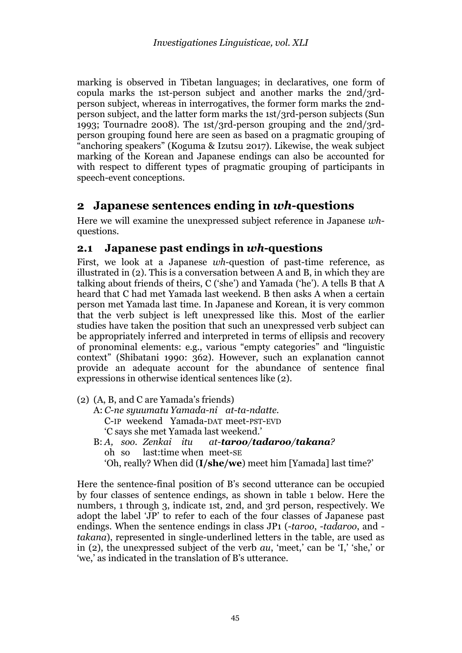marking is observed in Tibetan languages; in declaratives, one form of copula marks the 1st-person subject and another marks the 2nd/3rdperson subject, whereas in interrogatives, the former form marks the 2ndperson subject, and the latter form marks the 1st/3rd-person subjects (Sun 1993; Tournadre 2008). The 1st/3rd-person grouping and the 2nd/3rdperson grouping found here are seen as based on a pragmatic grouping of "anchoring speakers" (Koguma & Izutsu 2017). Likewise, the weak subject marking of the Korean and Japanese endings can also be accounted for with respect to different types of pragmatic grouping of participants in speech-event conceptions.

### **2 Japanese sentences ending in** *wh***-questions**

Here we will examine the unexpressed subject reference in Japanese *wh*questions.

### **2.1 Japanese past endings in** *wh***-questions**

First, we look at a Japanese *wh*-question of past-time reference, as illustrated in (2). This is a conversation between A and B, in which they are talking about friends of theirs, C ('she') and Yamada ('he'). A tells B that A heard that C had met Yamada last weekend. B then asks A when a certain person met Yamada last time. In Japanese and Korean, it is very common that the verb subject is left unexpressed like this. Most of the earlier studies have taken the position that such an unexpressed verb subject can be appropriately inferred and interpreted in terms of ellipsis and recovery of pronominal elements: e.g., various "empty categories" and "linguistic context" (Shibatani 1990: 362). However, such an explanation cannot provide an adequate account for the abundance of sentence final expressions in otherwise identical sentences like (2).

(2) (A, B, and C are Yamada's friends) A: *C-ne syuumatu Yamada-ni at-ta-ndatte.* C-IP weekend Yamada-DAT meet-PST-EVD 'C says she met Yamada last weekend.' B: *A, soo. Zenkai itu at-taroo/tadaroo/takana?* oh so last:time when meet-SE 'Oh, really? When did (**I/she/we**) meet him [Yamada] last time?'

Here the sentence-final position of B's second utterance can be occupied by four classes of sentence endings, as shown in table 1 below. Here the numbers, 1 through 3, indicate 1st, 2nd, and 3rd person, respectively. We adopt the label 'JP' to refer to each of the four classes of Japanese past endings. When the sentence endings in class JP1 (*-taroo*, *-tadaroo*, and  *takana*), represented in single-underlined letters in the table, are used as in (2), the unexpressed subject of the verb *au*, 'meet,' can be 'I,' 'she,' or 'we,' as indicated in the translation of B's utterance.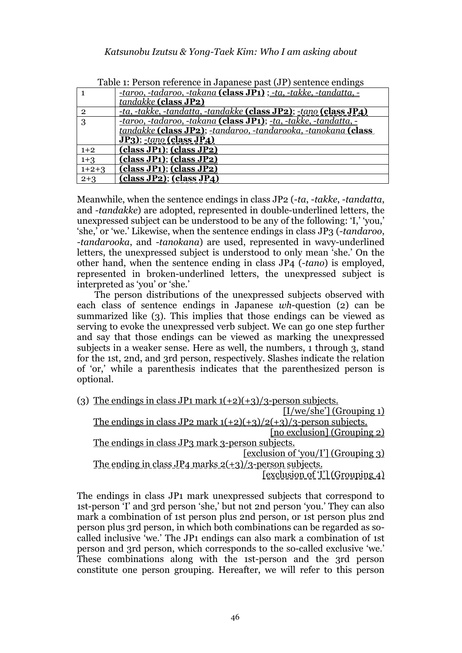|                | -taroo, -tadaroo, -takana (class JP1) ; -ta, -takke, -tandatta, -            |
|----------------|------------------------------------------------------------------------------|
|                | tandakke (class JP2)                                                         |
| $\overline{2}$ | -ta, -takke, -tandatta, -tandakke (class JP2); -tano (class JP4)             |
| 3              | -taroo, -tadaroo, -takana (class JP1); -ta, -takke, -tandatta, -             |
|                | tandakke (class JP2); -tandaroo, -tandarooka, -tanokana (class               |
|                | $JP_3$ ); -tano (class $JP_4$ )                                              |
| $1+2$          | class JP1); (class JP2)                                                      |
| $1 + 3$        | $class JP1);$ $class JP2)$                                                   |
| $1+2+3$        | (class JP1); (class JP2)                                                     |
| $2 + 3$        | $(\overline{class}$ JP <sub>2</sub> ); $(\overline{class}$ JP <sub>4</sub> ) |

| Table 1: Person reference in Japanese past (JP) sentence endings |  |  |
|------------------------------------------------------------------|--|--|
|------------------------------------------------------------------|--|--|

Meanwhile, when the sentence endings in class JP2 (*-ta*, *-takke*, *-tandatta*, and *-tandakke*) are adopted, represented in double-underlined letters, the unexpressed subject can be understood to be any of the following: 'I,' 'you,' 'she,' or 'we.' Likewise, when the sentence endings in class JP3 (*-tandaroo*, *-tandarooka*, and *-tanokana*) are used, represented in wavy-underlined letters, the unexpressed subject is understood to only mean 'she.' On the other hand, when the sentence ending in class JP4 (*-tano*) is employed, represented in broken-underlined letters, the unexpressed subject is interpreted as 'you' or 'she.'

The person distributions of the unexpressed subjects observed with each class of sentence endings in Japanese *wh*-question (2) can be summarized like (3). This implies that those endings can be viewed as serving to evoke the unexpressed verb subject. We can go one step further and say that those endings can be viewed as marking the unexpressed subjects in a weaker sense. Here as well, the numbers, 1 through 3, stand for the 1st, 2nd, and 3rd person, respectively. Slashes indicate the relation of 'or,' while a parenthesis indicates that the parenthesized person is optional.

| (3) The endings in class JP1 mark $1(+2)(+3)/3$ -person subjects.   |
|---------------------------------------------------------------------|
| $[I/we/she']$ (Grouping 1)                                          |
| The endings in class JP2 mark $1(+2)(+3)/2(+3)/3$ -person subjects. |
| [no exclusion] (Grouping 2)                                         |
| The endings in class JP3 mark 3-person subjects.                    |
| [exclusion of 'you/I'] (Grouping 3)                                 |
| The ending in class $JP_4$ marks $2(+3)/3$ -person subjects.        |
| [exclusion of T] (Grouping 4)                                       |

The endings in class JP1 mark unexpressed subjects that correspond to 1st-person 'I' and 3rd person 'she,' but not 2nd person 'you.' They can also mark a combination of 1st person plus 2nd person, or 1st person plus 2nd person plus 3rd person, in which both combinations can be regarded as socalled inclusive 'we.' The JP1 endings can also mark a combination of 1st person and 3rd person, which corresponds to the so-called exclusive 'we.' These combinations along with the 1st-person and the 3rd person constitute one person grouping. Hereafter, we will refer to this person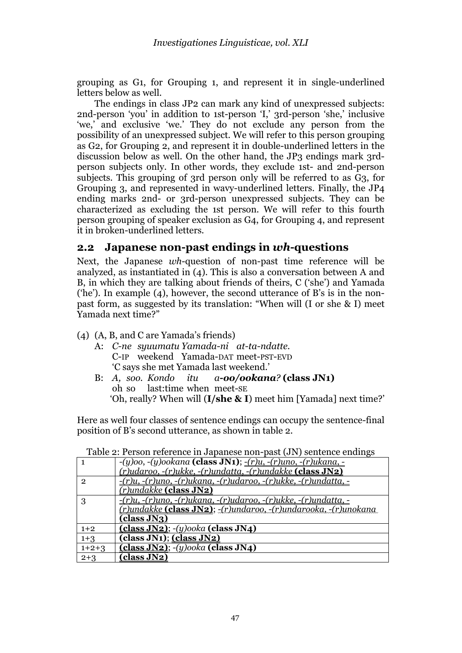grouping as G1, for Grouping 1, and represent it in single-underlined letters below as well.

The endings in class JP2 can mark any kind of unexpressed subjects: 2nd-person 'you' in addition to 1st-person 'I,' 3rd-person 'she,' inclusive 'we,' and exclusive 'we.' They do not exclude any person from the possibility of an unexpressed subject. We will refer to this person grouping as G2, for Grouping 2, and represent it in double-underlined letters in the discussion below as well. On the other hand, the JP3 endings mark 3rdperson subjects only. In other words, they exclude 1st- and 2nd-person subjects. This grouping of 3rd person only will be referred to as G3, for Grouping 3, and represented in wavy-underlined letters. Finally, the JP4 ending marks 2nd- or 3rd-person unexpressed subjects. They can be characterized as excluding the 1st person. We will refer to this fourth person grouping of speaker exclusion as G4, for Grouping 4, and represent it in broken-underlined letters.

#### **2.2 Japanese non-past endings in** *wh***-questions**

Next, the Japanese *wh*-question of non-past time reference will be analyzed, as instantiated in (4). This is also a conversation between A and B, in which they are talking about friends of theirs, C ('she') and Yamada ('he'). In example (4), however, the second utterance of B's is in the nonpast form, as suggested by its translation: "When will (I or she & I) meet Yamada next time?"

- (4) (A, B, and C are Yamada's friends)
	- A: *C-ne syuumatu Yamada-ni at-ta-ndatte.* C-IP weekend Yamada-DAT meet-PST-EVD 'C says she met Yamada last weekend.'
	- B: *A, soo. Kondo itu a-oo/ookana?* **(class JN1)** oh so last:time when meet-SE 'Oh, really? When will (**I/she & I**) meet him [Yamada] next time?'

Here as well four classes of sentence endings can occupy the sentence-final position of B's second utterance, as shown in table 2.

|                | $-(y)oo, -(y)ookana$ (class JN1); $-(r)u, -(r)uno, -(r)ukana, -$              |
|----------------|-------------------------------------------------------------------------------|
|                | (r)udaroo, -(r)ukke, -(r)undatta, -(r)undakke (class JN2)                     |
| $\overline{2}$ | $-(r)u, -(r)uno, -(r)ukana, -(r)udaroo, -(r)ukke, -(r)undatta, -r$            |
|                | (r)undakke (class JN2)                                                        |
| 3              | $-(r)u, -(r)uno, -(r)ukana, -(r)udaroo, -(r)ukke, -(r)undatta, -r$            |
|                | <u>(r)undakke <b>(class JN2)</b>; -(r)undaroo, -(r)undarooka, -(r)unokana</u> |
|                | (class JN3)                                                                   |
| $1+2$          | (class JN2); $-(y)$ ooka (class JN4)                                          |
| $1 + 3$        | (class JN1); (class JN2)                                                      |
| $1+2+3$        | (class JN2); $-(y) \circ \circ ka$ (class JN4)                                |
| $2 + 3$        | (class JN2)                                                                   |

Table 2: Person reference in Japanese non-past (JN) sentence endings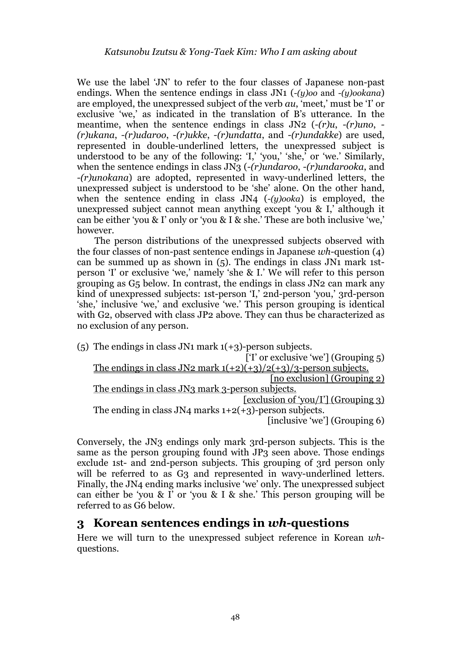We use the label 'JN' to refer to the four classes of Japanese non-past endings. When the sentence endings in class JN1 (*-(y)oo* and *-(y)ookana*) are employed, the unexpressed subject of the verb *au*, 'meet,' must be 'I' or exclusive 'we,' as indicated in the translation of B's utterance. In the meantime, when the sentence endings in class JN2 (*-(r)u*, *-(r)uno*, *- (r)ukana*, *-(r)udaroo*, *-(r)ukke*, *-(r)undatta*, and *-(r)undakke*) are used, represented in double-underlined letters, the unexpressed subject is understood to be any of the following: ' $I'$ , 'you,' 'she,' or 'we.' Similarly, when the sentence endings in class JN3 (*-(r)undaroo*, *-(r)undarooka*, and *-(r)unokana*) are adopted, represented in wavy-underlined letters, the unexpressed subject is understood to be 'she' alone. On the other hand, when the sentence ending in class JN4 (*-(y)ooka*) is employed, the unexpressed subject cannot mean anything except 'you & I,' although it can be either 'you & I' only or 'you & I & she.' These are both inclusive 'we,' however.

The person distributions of the unexpressed subjects observed with the four classes of non-past sentence endings in Japanese *wh*-question (4) can be summed up as shown in (5). The endings in class JN1 mark 1stperson 'I' or exclusive 'we,' namely 'she & I.' We will refer to this person grouping as G5 below. In contrast, the endings in class JN2 can mark any kind of unexpressed subjects: 1st-person 'I,' 2nd-person 'you,' 3rd-person 'she,' inclusive 'we,' and exclusive 'we.' This person grouping is identical with G2, observed with class JP2 above. They can thus be characterized as no exclusion of any person.

(5) The endings in class JN1 mark  $1(+3)$ -person subjects. [T' or exclusive 'we'] (Grouping 5) The endings in class JN2 mark  $1(+2)(+3)/2(+3)/3$ -person subjects. [no exclusion] (Grouping 2) The endings in class JN3 mark 3-person subjects. [exclusion of 'you/I'] (Grouping 3) The ending in class JN4 marks  $1+2(+3)$ -person subjects. [inclusive 'we'] (Grouping 6)

Conversely, the JN3 endings only mark 3rd-person subjects. This is the same as the person grouping found with JP3 seen above. Those endings exclude 1st- and 2nd-person subjects. This grouping of 3rd person only will be referred to as G<sub>3</sub> and represented in wavy-underlined letters. Finally, the JN4 ending marks inclusive 'we' only. The unexpressed subject can either be 'you & I' or 'you & I & she.' This person grouping will be referred to as G6 below.

### **3 Korean sentences endings in** *wh***-questions**

Here we will turn to the unexpressed subject reference in Korean *wh*questions.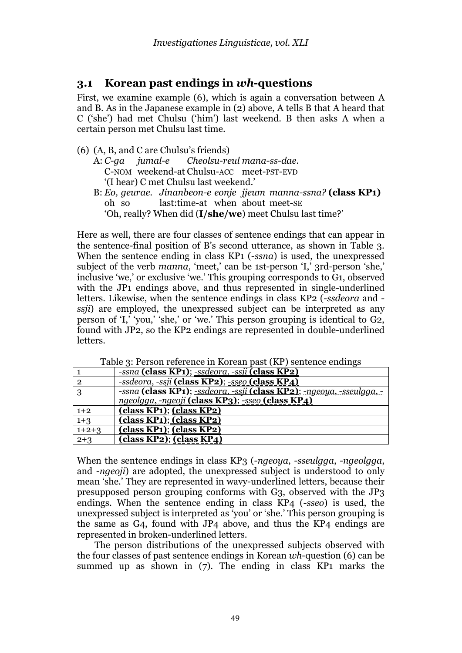### **3.1 Korean past endings in** *wh***-questions**

First, we examine example (6), which is again a conversation between A and B. As in the Japanese example in (2) above, A tells B that A heard that C ('she') had met Chulsu ('him') last weekend. B then asks A when a certain person met Chulsu last time.

- (6) (A, B, and C are Chulsu's friends)
	- A: *C-ga jumal-e Cheolsu-reul mana-ss-dae.* C-NOM weekend-at Chulsu-ACC meet-PST-EVD '(I hear) C met Chulsu last weekend.'
	- B: *Eo, geurae. Jinanbeon-e eonje jjeum manna-ssna?* **(class KP1)** oh so last:time-at when about meet-SE 'Oh, really? When did (**I/she/we**) meet Chulsu last time?'

Here as well, there are four classes of sentence endings that can appear in the sentence-final position of B's second utterance, as shown in Table 3. When the sentence ending in class KP1 (*-ssna*) is used, the unexpressed subject of the verb *manna*, 'meet,' can be 1st-person 'I,' 3rd-person 'she,' inclusive 'we,' or exclusive 'we.' This grouping corresponds to G1, observed with the JP1 endings above, and thus represented in single-underlined letters. Likewise, when the sentence endings in class KP2 (*-ssdeora* and  *ssji*) are employed, the unexpressed subject can be interpreted as any person of 'I,' 'you,' 'she,' or 'we.' This person grouping is identical to G2, found with JP2, so the KP2 endings are represented in double-underlined letters.

|                | <u>-ssna (class KP1); -ssdeora, -ssji (class KP2)</u>                 |
|----------------|-----------------------------------------------------------------------|
| $\overline{2}$ | -ssdeora, -ssji (class KP2); -sseo (class KP4)                        |
| 3              | -ssna (class KP1); -ssdeora, -ssji (class KP2); -ngeoya, -sseulgga, - |
|                | ngeolgga, -ngeoji (class KP3); -sseo (class KP4)                      |
| $1+2$          | class KP1); (class KP2)                                               |
| $1 + 3$        | class KP1); (class KP2)                                               |
| $1+2+3$        | (class KP1); (class KP2)                                              |
| $2+3$          | class KP2); (class KP4)                                               |

Table 3: Person reference in Korean past (KP) sentence endings

When the sentence endings in class KP3 (*-ngeoya*, *-sseulgga*, *-ngeolgga*, and *-ngeoji*) are adopted, the unexpressed subject is understood to only mean 'she.' They are represented in wavy-underlined letters, because their presupposed person grouping conforms with G3, observed with the JP3 endings. When the sentence ending in class KP4 (*-sseo*) is used, the unexpressed subject is interpreted as 'you' or 'she.' This person grouping is the same as G4, found with JP4 above, and thus the KP4 endings are represented in broken-underlined letters.

The person distributions of the unexpressed subjects observed with the four classes of past sentence endings in Korean *wh*-question (6) can be summed up as shown in (7). The ending in class KP1 marks the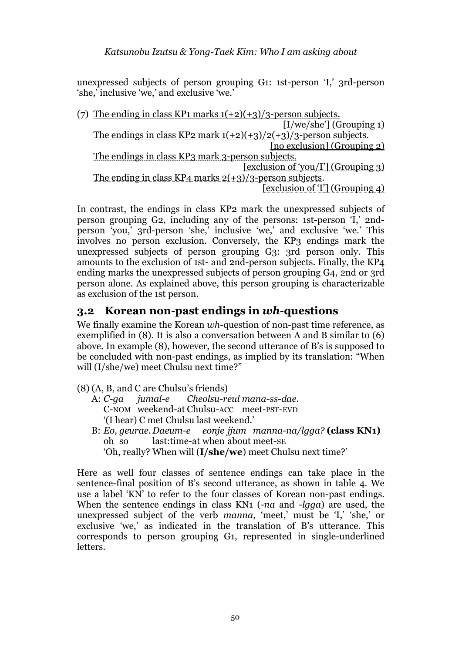unexpressed subjects of person grouping G1: 1st-person 'I,' 3rd-person 'she,' inclusive 'we,' and exclusive 'we.'

(7) The ending in class KP1 marks  $1(+2)(+3)/3$ -person subjects. [I/we/she'] (Grouping 1) The endings in class KP2 mark  $1(+2)(+3)/2(+3)/3$ -person subjects. [no exclusion] (Grouping 2) The endings in class KP3 mark 3-person subjects. [exclusion of 'you/I'] (Grouping 3) The ending in class  $KP_4$  marks  $2(+3)/3$ -person subjects. [exclusion of 'I'] (Grouping 4)

In contrast, the endings in class KP2 mark the unexpressed subjects of person grouping G2, including any of the persons: 1st-person 'I,' 2ndperson 'you,' 3rd-person 'she,' inclusive 'we,' and exclusive 'we.' This involves no person exclusion. Conversely, the KP3 endings mark the unexpressed subjects of person grouping G3: 3rd person only. This amounts to the exclusion of 1st- and 2nd-person subjects. Finally, the KP4 ending marks the unexpressed subjects of person grouping G4, 2nd or 3rd person alone. As explained above, this person grouping is characterizable as exclusion of the 1st person.

### **3.2 Korean non-past endings in** *wh***-questions**

We finally examine the Korean *wh*-question of non-past time reference, as exemplified in (8). It is also a conversation between A and B similar to (6) above. In example (8), however, the second utterance of B's is supposed to be concluded with non-past endings, as implied by its translation: "When will (I/she/we) meet Chulsu next time?"

- (8) (A, B, and C are Chulsu's friends)<br>A:  $C$ -ga jumal-e Cheolsu-re
	- A: *C-ga jumal-e Cheolsu-reul mana-ss-dae.* C-NOM weekend-at Chulsu-ACC meet-PST-EVD '(I hear) C met Chulsu last weekend.'
	- B: *Eo, geurae. Daeum-e eonje jjum manna-na/lgga?* **(class KN1)** oh so last:time-at when about meet-SE 'Oh, really? When will (**I/she/we**) meet Chulsu next time?'

Here as well four classes of sentence endings can take place in the sentence-final position of B's second utterance, as shown in table 4. We use a label 'KN' to refer to the four classes of Korean non-past endings. When the sentence endings in class KN1 (*-na* and *-lgga*) are used, the unexpressed subject of the verb *manna*, 'meet,' must be 'I,' 'she,' or exclusive 'we,' as indicated in the translation of B's utterance. This corresponds to person grouping G1, represented in single-underlined letters.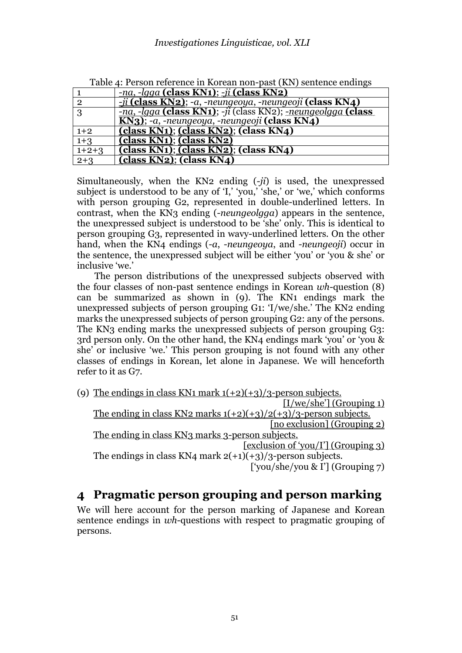|                | Table 4. I cloch felerence in Korean hon-past (KIV) schlence changs  |
|----------------|----------------------------------------------------------------------|
|                | $-\eta a$ , $-lqqa$ (class KN1); $-ji$ (class KN2)                   |
| $\overline{2}$ | $-i$ i (class KN2); -a, -neungeoya, -neungeoji (class KN4)           |
|                | <u>-na, -lqqa (class KN1)</u> ; -ji (class KN2); -neungeolgga (class |
|                | KN3); -a, -neungeoya, -neungeoji (class KN4)                         |
| $1+2$          | class KN1); (class KN2); (class KN4)                                 |
| $1 + 3$        | class KN1); (class KN2)                                              |
| $1+2+3$        | class KN1); (class KN2); (class KN4)                                 |
| $2+3$          | (class KN2); (class KN4)                                             |

Table 4: Person reference in Korean non-past (KN) sentence endings

Simultaneously, when the KN2 ending (*-ji*) is used, the unexpressed subject is understood to be any of 'I,' 'you,' 'she,' or 'we,' which conforms with person grouping G2, represented in double-underlined letters. In contrast, when the KN3 ending (*-neungeolgga*) appears in the sentence, the unexpressed subject is understood to be 'she' only. This is identical to person grouping G3, represented in wavy-underlined letters. On the other hand, when the KN4 endings (*-a*, *-neungeoya*, and *-neungeoji*) occur in the sentence, the unexpressed subject will be either 'you' or 'you & she' or inclusive 'we.'

The person distributions of the unexpressed subjects observed with the four classes of non-past sentence endings in Korean *wh*-question (8) can be summarized as shown in (9). The KN1 endings mark the unexpressed subjects of person grouping G1: 'I/we/she.' The KN2 ending marks the unexpressed subjects of person grouping G2: any of the persons. The KN3 ending marks the unexpressed subjects of person grouping G3: 3rd person only. On the other hand, the KN4 endings mark 'you' or 'you & she' or inclusive 'we.' This person grouping is not found with any other classes of endings in Korean, let alone in Japanese. We will henceforth refer to it as G7.

(9) The endings in class KN1 mark  $1(+2)(+3)/3$ -person subjects. [I/we/she'] (Grouping 1) The ending in class KN2 marks  $1(+2)(+3)/2(+3)/3$ -person subjects. [no exclusion] (Grouping 2) The ending in class KN3 marks 3-person subjects. [exclusion of 'you/I'] (Grouping 3) The endings in class KN4 mark  $2(+1)(+3)/3$ -person subjects. ['you/she/you & I'] (Grouping 7)

# **4 Pragmatic person grouping and person marking**

We will here account for the person marking of Japanese and Korean sentence endings in *wh*-questions with respect to pragmatic grouping of persons.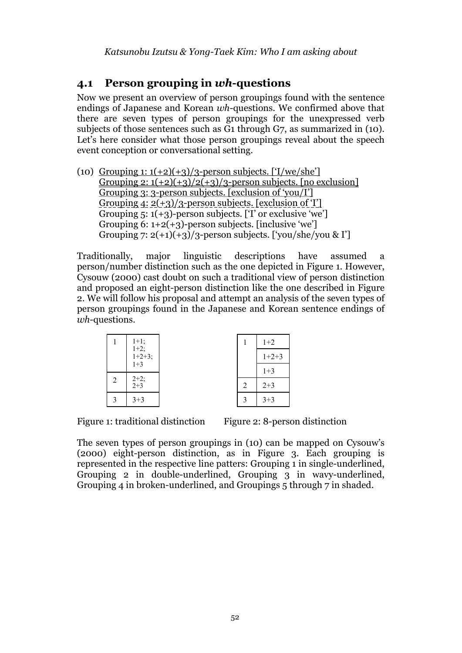### **4.1 Person grouping in** *wh***-questions**

Now we present an overview of person groupings found with the sentence endings of Japanese and Korean *wh*-questions. We confirmed above that there are seven types of person groupings for the unexpressed verb subjects of those sentences such as G1 through G7, as summarized in (10). Let's here consider what those person groupings reveal about the speech event conception or conversational setting.

(10) Grouping 1:  $1(+2)(+3)/3$ -person subjects. ['I/we/she'] Grouping 2:  $1(+2)(+3)/2(+3)/3$ -person subjects. [no exclusion] Grouping 3: 3-person subjects. [exclusion of 'you/I'] Grouping  $4: 2(+3)/3$ -person subjects. [exclusion of 'I'] Grouping  $5: 1(+3)$ -person subjects. ['I' or exclusive 'we'] Grouping 6:  $1+2(+3)$ -person subjects. [inclusive 'we'] Grouping 7:  $2(+1)(+3)/3$ -person subjects. ['vou/she/vou & I']

Traditionally, major linguistic descriptions have assumed a person/number distinction such as the one depicted in Figure 1. However, Cysouw (2000) cast doubt on such a traditional view of person distinction and proposed an eight-person distinction like the one described in Figure 2. We will follow his proposal and attempt an analysis of the seven types of person groupings found in the Japanese and Korean sentence endings of *wh*-questions.

|   |                               |   | $1+2$   |
|---|-------------------------------|---|---------|
|   | 1+1;<br>1+2;<br>1+2+3;<br>1+3 |   | $1+2+3$ |
|   |                               |   | $1 + 3$ |
| 2 | $2+2;$<br>$2+3$               | 2 | $2 + 3$ |
| 3 | $3 + 3$                       | 3 | $3 + 3$ |
|   |                               |   |         |

Figure 1: traditional distinction Figure 2: 8-person distinction

The seven types of person groupings in (10) can be mapped on Cysouw's (2000) eight-person distinction, as in Figure 3. Each grouping is represented in the respective line patters: Grouping 1 in single-underlined, Grouping 2 in double-underlined, Grouping 3 in wavy-underlined, Grouping 4 in broken-underlined, and Groupings 5 through 7 in shaded.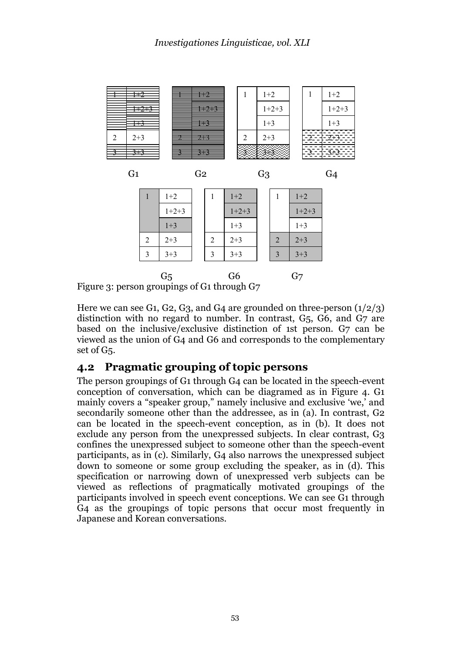

|                                                                                               |   | $1+2$   |  | l | $1+2$   |  |                | $1+2$   |
|-----------------------------------------------------------------------------------------------|---|---------|--|---|---------|--|----------------|---------|
|                                                                                               |   | $1+2+3$ |  |   | $1+2+3$ |  |                | $1+2+3$ |
|                                                                                               |   | $1 + 3$ |  |   | $1 + 3$ |  |                | $1 + 3$ |
|                                                                                               | 2 | $2 + 3$ |  | 2 | $2 + 3$ |  | $\overline{2}$ | $2 + 3$ |
|                                                                                               | 3 | $3 + 3$ |  | 3 | $3 + 3$ |  | 3              | $3 + 3$ |
| G <sub>6</sub><br>G <sub>5</sub><br>G <sub>7</sub><br>nerson groupings of $C_1$ through $C_7$ |   |         |  |   |         |  |                |         |

Figure 3: person groupings of G1 through G7

Here we can see G1, G2, G3, and G4 are grounded on three-person  $(1/2/3)$ distinction with no regard to number. In contrast, G5, G6, and G7 are based on the inclusive/exclusive distinction of 1st person. G7 can be viewed as the union of G4 and G6 and corresponds to the complementary set of G5.

# **4.2 Pragmatic grouping of topic persons**

The person groupings of G1 through G4 can be located in the speech-event conception of conversation, which can be diagramed as in Figure 4. G1 mainly covers a "speaker group," namely inclusive and exclusive 'we,' and secondarily someone other than the addressee, as in (a). In contrast, G2 can be located in the speech-event conception, as in (b). It does not exclude any person from the unexpressed subjects. In clear contrast, G3 confines the unexpressed subject to someone other than the speech-event participants, as in (c). Similarly, G4 also narrows the unexpressed subject down to someone or some group excluding the speaker, as in (d). This specification or narrowing down of unexpressed verb subjects can be viewed as reflections of pragmatically motivated groupings of the participants involved in speech event conceptions. We can see G1 through G4 as the groupings of topic persons that occur most frequently in Japanese and Korean conversations.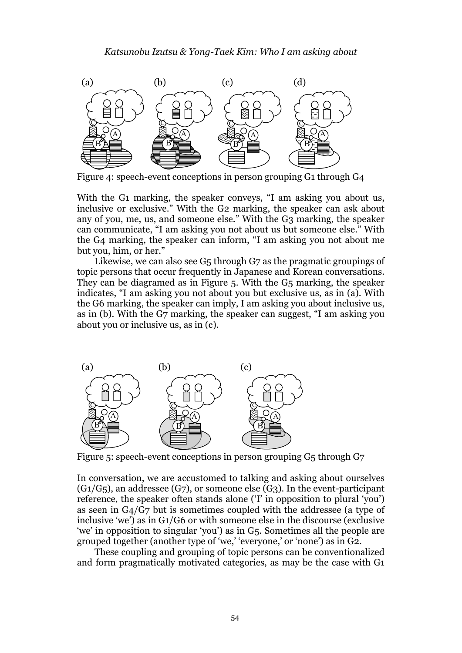

Figure 4: speech-event conceptions in person grouping G1 through G4

With the G1 marking, the speaker conveys, "I am asking you about us, inclusive or exclusive." With the G2 marking, the speaker can ask about any of you, me, us, and someone else." With the G3 marking, the speaker can communicate, "I am asking you not about us but someone else." With the G4 marking, the speaker can inform, "I am asking you not about me but you, him, or her."

Likewise, we can also see G5 through G7 as the pragmatic groupings of topic persons that occur frequently in Japanese and Korean conversations. They can be diagramed as in Figure 5. With the G5 marking, the speaker indicates, "I am asking you not about you but exclusive us, as in (a). With the G6 marking, the speaker can imply, I am asking you about inclusive us, as in (b). With the G7 marking, the speaker can suggest, "I am asking you about you or inclusive us, as in (c).



Figure 5: speech-event conceptions in person grouping G5 through G7

In conversation, we are accustomed to talking and asking about ourselves  $(G1/G<sub>5</sub>)$ , an addressee  $(G7)$ , or someone else  $(G3)$ . In the event-participant reference, the speaker often stands alone ('I' in opposition to plural 'you') as seen in G4/G7 but is sometimes coupled with the addressee (a type of inclusive 'we') as in G1/G6 or with someone else in the discourse (exclusive 'we' in opposition to singular 'you') as in G5. Sometimes all the people are grouped together (another type of 'we,' 'everyone,' or 'none') as in G2.

These coupling and grouping of topic persons can be conventionalized and form pragmatically motivated categories, as may be the case with G1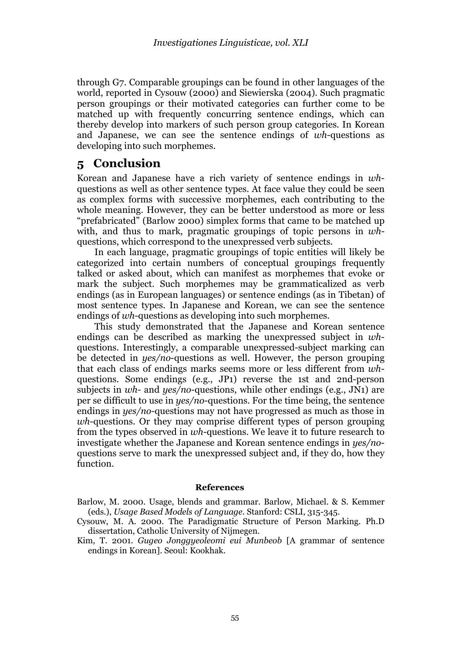through G7. Comparable groupings can be found in other languages of the world, reported in Cysouw (2000) and Siewierska (2004). Such pragmatic person groupings or their motivated categories can further come to be matched up with frequently concurring sentence endings, which can thereby develop into markers of such person group categories. In Korean and Japanese, we can see the sentence endings of *wh*-questions as developing into such morphemes.

### **5 Conclusion**

Korean and Japanese have a rich variety of sentence endings in *wh*questions as well as other sentence types. At face value they could be seen as complex forms with successive morphemes, each contributing to the whole meaning. However, they can be better understood as more or less "prefabricated" (Barlow 2000) simplex forms that came to be matched up with, and thus to mark, pragmatic groupings of topic persons in *wh*questions, which correspond to the unexpressed verb subjects.

In each language, pragmatic groupings of topic entities will likely be categorized into certain numbers of conceptual groupings frequently talked or asked about, which can manifest as morphemes that evoke or mark the subject. Such morphemes may be grammaticalized as verb endings (as in European languages) or sentence endings (as in Tibetan) of most sentence types. In Japanese and Korean, we can see the sentence endings of *wh*-questions as developing into such morphemes.

This study demonstrated that the Japanese and Korean sentence endings can be described as marking the unexpressed subject in *wh*questions. Interestingly, a comparable unexpressed-subject marking can be detected in *yes/no*-questions as well. However, the person grouping that each class of endings marks seems more or less different from *wh*questions. Some endings (e.g., JP1) reverse the 1st and 2nd-person subjects in *wh*- and *yes/no*-questions, while other endings (e.g., JN1) are per se difficult to use in *yes/no*-questions. For the time being, the sentence endings in *yes/no*-questions may not have progressed as much as those in *wh*-questions. Or they may comprise different types of person grouping from the types observed in *wh*-questions. We leave it to future research to investigate whether the Japanese and Korean sentence endings in *yes/no*questions serve to mark the unexpressed subject and, if they do, how they function.

#### **References**

Barlow, M. 2000. Usage, blends and grammar. Barlow, Michael. & S. Kemmer (eds.), *Usage Based Models of Language*. Stanford: CSLI, 315-345.

- Cysouw, M. A. 2000. The Paradigmatic Structure of Person Marking. Ph.D dissertation, Catholic University of Nijmegen.
- Kim, T. 2001. *Gugeo Jonggyeoleomi eui Munbeob* [A grammar of sentence endings in Korean]. Seoul: Kookhak.